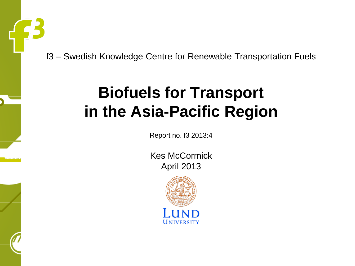f3 – Swedish Knowledge Centre for Renewable Transportation Fuels

#### **Biofuels for Transport in the Asia-Pacific Region**

Report no. f3 2013:4

Kes McCormick April 2013

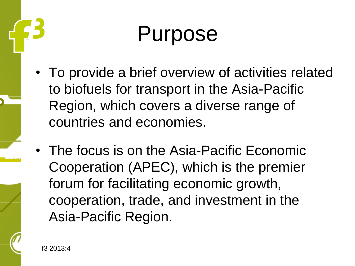#### Purpose

- To provide a brief overview of activities related to biofuels for transport in the Asia-Pacific Region, which covers a diverse range of countries and economies.
- The focus is on the Asia-Pacific Economic Cooperation (APEC), which is the premier forum for facilitating economic growth, cooperation, trade, and investment in the Asia-Pacific Region.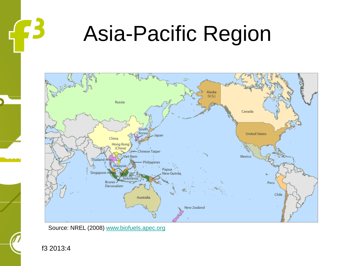

#### Asia-Pacific Region



Source: NREL (2008) [www.biofuels.apec.org](http://www.biofuels.apec.org/)

f3 2013:4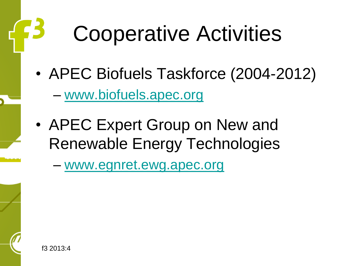#### Cooperative Activities

- APEC Biofuels Taskforce (2004-2012)
	- [www.biofuels.apec.org](http://www.biofuels.apec.org/)
- APEC Expert Group on New and Renewable Energy Technologies

– [www.egnret.ewg.apec.org](http://www.egnret.ewg.apec.org/)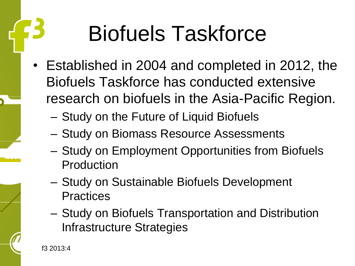## Biofuels Taskforce

- Established in 2004 and completed in 2012, the Biofuels Taskforce has conducted extensive research on biofuels in the Asia-Pacific Region.
	- Study on the Future of Liquid Biofuels
	- Study on Biomass Resource Assessments
	- Study on Employment Opportunities from Biofuels Production
	- Study on Sustainable Biofuels Development **Practices**
	- Study on Biofuels Transportation and Distribution Infrastructure Strategies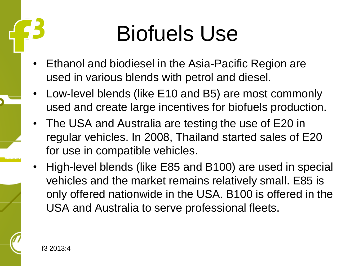#### Biofuels Use

- Ethanol and biodiesel in the Asia-Pacific Region are used in various blends with petrol and diesel.
- Low-level blends (like E10 and B5) are most commonly used and create large incentives for biofuels production.
- The USA and Australia are testing the use of E20 in regular vehicles. In 2008, Thailand started sales of E20 for use in compatible vehicles.
- High-level blends (like E85 and B100) are used in special vehicles and the market remains relatively small. E85 is only offered nationwide in the USA. B100 is offered in the USA and Australia to serve professional fleets.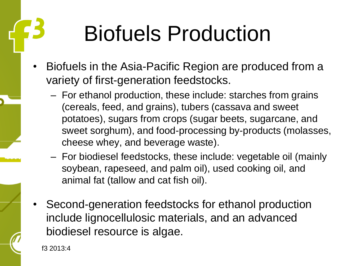## Biofuels Production

- Biofuels in the Asia-Pacific Region are produced from a variety of first-generation feedstocks.
	- For ethanol production, these include: starches from grains (cereals, feed, and grains), tubers (cassava and sweet potatoes), sugars from crops (sugar beets, sugarcane, and sweet sorghum), and food-processing by-products (molasses, cheese whey, and beverage waste).
	- For biodiesel feedstocks, these include: vegetable oil (mainly soybean, rapeseed, and palm oil), used cooking oil, and animal fat (tallow and cat fish oil).
- Second-generation feedstocks for ethanol production include lignocellulosic materials, and an advanced biodiesel resource is algae.

f3 2013:4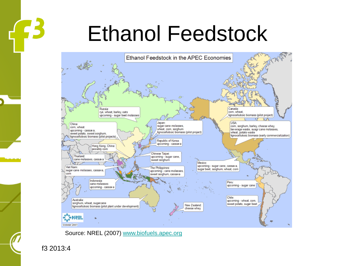#### Ethanol Feedstock



Source: NREL (2007) [www.biofuels.apec.org](http://www.biofuels.apec.org/)

f3 2013:4

 $\left\{ \mathbf{E}% _{0}\right\}$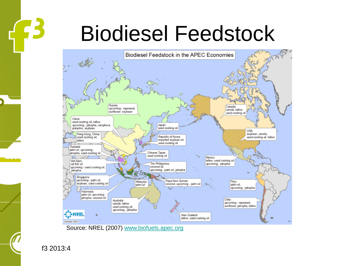#### Biodiesel Feedstock



f3 2013:4

 $\mathbf{B}$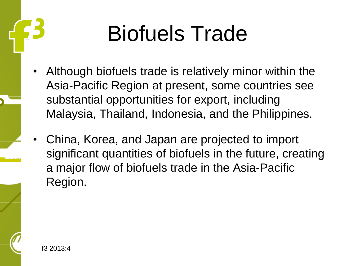#### Biofuels Trade

- Although biofuels trade is relatively minor within the Asia-Pacific Region at present, some countries see substantial opportunities for export, including Malaysia, Thailand, Indonesia, and the Philippines.
- China, Korea, and Japan are projected to import significant quantities of biofuels in the future, creating a major flow of biofuels trade in the Asia-Pacific Region.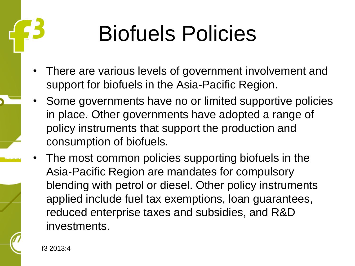### Biofuels Policies

- There are various levels of government involvement and support for biofuels in the Asia-Pacific Region.
- Some governments have no or limited supportive policies in place. Other governments have adopted a range of policy instruments that support the production and consumption of biofuels.
- The most common policies supporting biofuels in the Asia-Pacific Region are mandates for compulsory blending with petrol or diesel. Other policy instruments applied include fuel tax exemptions, loan guarantees, reduced enterprise taxes and subsidies, and R&D investments.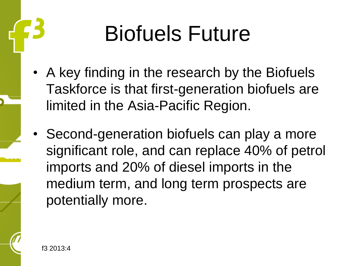### Biofuels Future

- A key finding in the research by the Biofuels Taskforce is that first-generation biofuels are limited in the Asia-Pacific Region.
- Second-generation biofuels can play a more significant role, and can replace 40% of petrol imports and 20% of diesel imports in the medium term, and long term prospects are potentially more.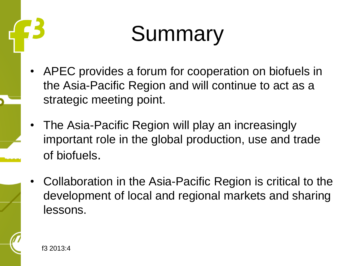#### Summary

- APEC provides a forum for cooperation on biofuels in the Asia-Pacific Region and will continue to act as a strategic meeting point.
- The Asia-Pacific Region will play an increasingly important role in the global production, use and trade of biofuels.
- Collaboration in the Asia-Pacific Region is critical to the development of local and regional markets and sharing lessons.

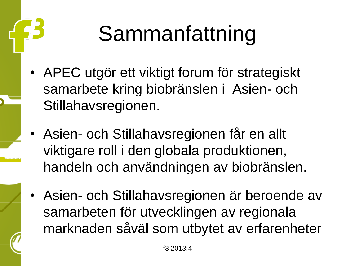# Sammanfattning

- APEC utgör ett viktigt forum för strategiskt samarbete kring biobränslen i Asien- och Stillahavsregionen.
- Asien- och Stillahavsregionen får en allt viktigare roll i den globala produktionen, handeln och användningen av biobränslen.
- Asien- och Stillahavsregionen är beroende av samarbeten för utvecklingen av regionala marknaden såväl som utbytet av erfarenheter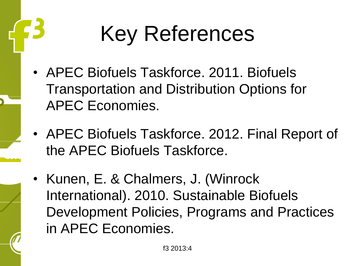## Key References

- APEC Biofuels Taskforce. 2011. Biofuels Transportation and Distribution Options for APEC Economies.
- APEC Biofuels Taskforce. 2012. Final Report of the APEC Biofuels Taskforce.
- Kunen, E. & Chalmers, J. (Winrock International). 2010. Sustainable Biofuels Development Policies, Programs and Practices in APEC Economies.